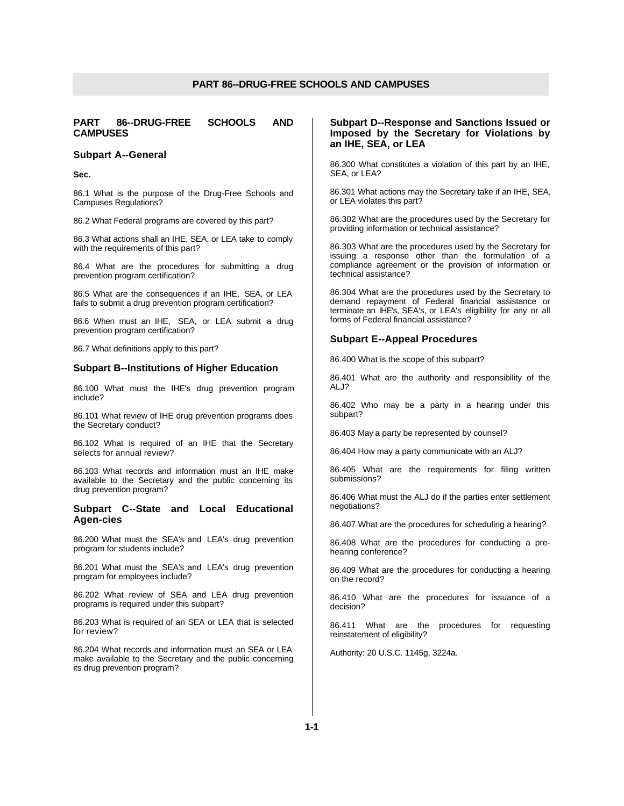# **PART 86--DRUG-FREE SCHOOLS AND CAMPUSES**

## **Subpart A--General**

**Sec.**

86.1 What is the purpose of the Drug-Free Schools and Campuses Regulations?

86.2 What Federal programs are covered by this part?

86.3 What actions shall an IHE, SEA, or LEA take to comply with the requirements of this part?

86.4 What are the procedures for submitting a drug prevention program certification?

86.5 What are the consequences if an IHE, SEA, or LEA fails to submit a drug prevention program certification?

86.6 When must an IHE, SEA, or LEA submit a drug prevention program certification?

86.7 What definitions apply to this part?

# **Subpart B--Institutions of Higher Education**

86.100 What must the IHE's drug prevention program include?

86.101 What review of IHE drug prevention programs does the Secretary conduct?

86.102 What is required of an IHE that the Secretary selects for annual review?

86.103 What records and information must an IHE make available to the Secretary and the public concerning its drug prevention program?

# **Subpart C--State and Local Educational Agen-cies**

86.200 What must the SEA's and LEA's drug prevention program for students include?

86.201 What must the SEA's and LEA's drug prevention program for employees include?

86.202 What review of SEA and LEA drug prevention programs is required under this subpart?

86.203 What is required of an SEA or LEA that is selected for review?

86.204 What records and information must an SEA or LEA make available to the Secretary and the public concerning its drug prevention program?

# **Subpart D--Response and Sanctions Issued or Imposed by the Secretary for Violations by an IHE, SEA, or LEA**

86.300 What constitutes a violation of this part by an IHE, SEA, or LEA?

86.301 What actions may the Secretary take if an IHE, SEA, or LEA violates this part?

86.302 What are the procedures used by the Secretary for providing information or technical assistance?

86.303 What are the procedures used by the Secretary for issuing a response other than the formulation of a compliance agreement or the provision of information or technical assistance?

86.304 What are the procedures used by the Secretary to demand repayment of Federal financial assistance or terminate an IHE's, SEA's, or LEA's eligibility for any or all forms of Federal financial assistance?

## **Subpart E--Appeal Procedures**

86.400 What is the scope of this subpart?

86.401 What are the authority and responsibility of the ALJ?

86.402 Who may be a party in a hearing under this subpart?

86.403 May a party be represented by counsel?

86.404 How may a party communicate with an ALJ?

86.405 What are the requirements for filing written submissions?

86.406 What must the ALJ do if the parties enter settlement negotiations?

86.407 What are the procedures for scheduling a hearing?

86.408 What are the procedures for conducting a prehearing conference?

86.409 What are the procedures for conducting a hearing on the record?

86.410 What are the procedures for issuance of a decision?

86.411 What are the procedures for requesting reinstatement of eligibility?

Authority: 20 U.S.C. 1145g, 3224a.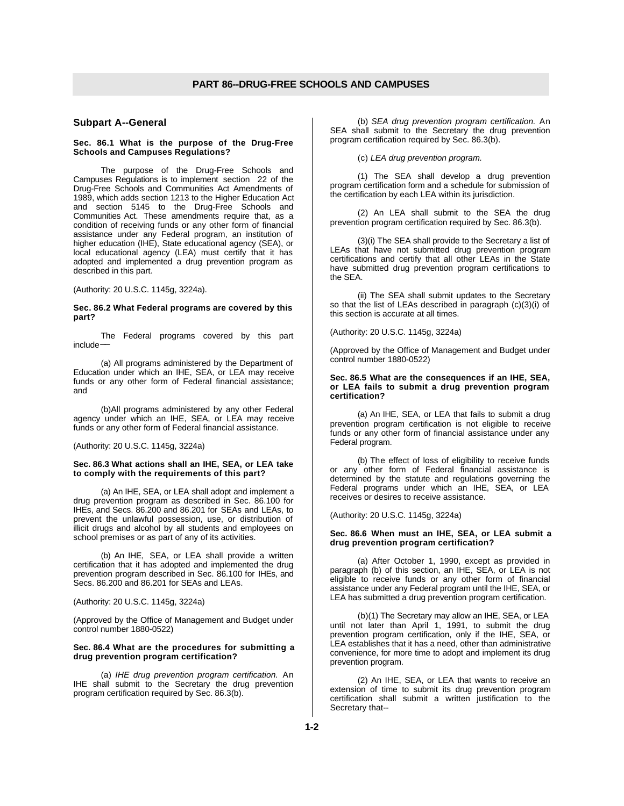# **Subpart A--General**

#### **Sec. 86.1 What is the purpose of the Drug-Free Schools and Campuses Regulations?**

The purpose of the Drug-Free Schools and Campuses Regulations is to implement section 22 of the Drug-Free Schools and Communities Act Amendments of 1989, which adds section 1213 to the Higher Education Act and section 5145 to the Drug-Free Schools and Communities Act. These amendments require that, as a condition of receiving funds or any other form of financial assistance under any Federal program, an institution of higher education (IHE), State educational agency (SEA), or local educational agency (LEA) must certify that it has adopted and implemented a drug prevention program as described in this part.

(Authority: 20 U.S.C. 1145g, 3224a).

#### **Sec. 86.2 What Federal programs are covered by this part?**

The Federal programs covered by this part include−−

(a) All programs administered by the Department of Education under which an IHE, SEA, or LEA may receive funds or any other form of Federal financial assistance; and

(b)All programs administered by any other Federal agency under which an IHE, SEA, or LEA may receive funds or any other form of Federal financial assistance.

(Authority: 20 U.S.C. 1145g, 3224a)

#### **Sec. 86.3 What actions shall an IHE, SEA, or LEA take to comply with the requirements of this part?**

(a) An IHE, SEA, or LEA shall adopt and implement a drug prevention program as described in Sec. 86.100 for IHEs, and Secs. 86.200 and 86.201 for SEAs and LEAs, to prevent the unlawful possession, use, or distribution of illicit drugs and alcohol by all students and employees on school premises or as part of any of its activities.

(b) An IHE, SEA, or LEA shall provide a written certification that it has adopted and implemented the drug prevention program described in Sec. 86.100 for IHEs, and Secs. 86.200 and 86.201 for SEAs and LEAs.

(Authority: 20 U.S.C. 1145g, 3224a)

(Approved by the Office of Management and Budget under control number 1880-0522)

#### **Sec. 86.4 What are the procedures for submitting a drug prevention program certification?**

(a) *IHE drug prevention program certification.* An IHE shall submit to the Secretary the drug prevention program certification required by Sec. 86.3(b).

(b) *SEA drug prevention program certification.* An SEA shall submit to the Secretary the drug prevention program certification required by Sec. 86.3(b).

(c) *LEA drug prevention program.*

(1) The SEA shall develop a drug prevention program certification form and a schedule for submission of the certification by each LEA within its jurisdiction.

(2) An LEA shall submit to the SEA the drug prevention program certification required by Sec. 86.3(b).

(3)(i) The SEA shall provide to the Secretary a list of LEAs that have not submitted drug prevention program certifications and certify that all other LEAs in the State have submitted drug prevention program certifications to the SEA.

(ii) The SEA shall submit updates to the Secretary so that the list of LEAs described in paragraph (c)(3)(i) of this section is accurate at all times.

(Authority: 20 U.S.C. 1145g, 3224a)

(Approved by the Office of Management and Budget under control number 1880-0522)

#### **Sec. 86.5 What are the consequences if an IHE, SEA, or LEA fails to submit a drug prevention program certification?**

(a) An IHE, SEA, or LEA that fails to submit a drug prevention program certification is not eligible to receive funds or any other form of financial assistance under any Federal program.

(b) The effect of loss of eligibility to receive funds or any other form of Federal financial assistance is determined by the statute and regulations governing the Federal programs under which an IHE, SEA, or LEA receives or desires to receive assistance.

(Authority: 20 U.S.C. 1145g, 3224a)

#### **Sec. 86.6 When must an IHE, SEA, or LEA submit a drug prevention program certification?**

(a) After October 1, 1990, except as provided in paragraph (b) of this section, an IHE, SEA, or LEA is not eligible to receive funds or any other form of financial assistance under any Federal program until the IHE, SEA, or LEA has submitted a drug prevention program certification.

(b)(1) The Secretary may allow an IHE, SEA, or LEA until not later than April 1, 1991, to submit the drug prevention program certification, only if the IHE, SEA, or LEA establishes that it has a need, other than administrative convenience, for more time to adopt and implement its drug prevention program.

(2) An IHE, SEA, or LEA that wants to receive an extension of time to submit its drug prevention program certification shall submit a written justification to the Secretary that--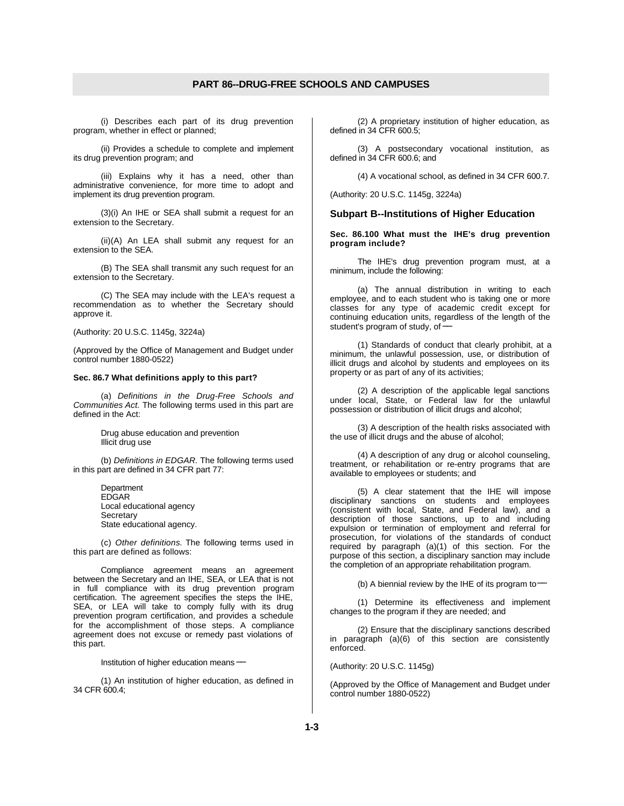(i) Describes each part of its drug prevention program, whether in effect or planned;

(ii) Provides a schedule to complete and implement its drug prevention program; and

(iii) Explains why it has a need, other than administrative convenience, for more time to adopt and implement its drug prevention program.

(3)(i) An IHE or SEA shall submit a request for an extension to the Secretary.

(ii)(A) An LEA shall submit any request for an extension to the SEA.

(B) The SEA shall transmit any such request for an extension to the Secretary.

(C) The SEA may include with the LEA's request a recommendation as to whether the Secretary should approve it.

(Authority: 20 U.S.C. 1145g, 3224a)

(Approved by the Office of Management and Budget under control number 1880-0522)

#### **Sec. 86.7 What definitions apply to this part?**

(a) *Definitions in the Drug-Free Schools and Communities Act.* The following terms used in this part are defined in the Act:

> Drug abuse education and prevention Illicit drug use

(b) *Definitions in EDGAR.* The following terms used in this part are defined in 34 CFR part 77:

> **Department EDGAR** Local educational agency **Secretary** State educational agency.

(c) *Other definitions.* The following terms used in this part are defined as follows:

Compliance agreement means an agreement between the Secretary and an IHE, SEA, or LEA that is not in full compliance with its drug prevention program certification. The agreement specifies the steps the IHE, SEA, or LEA will take to comply fully with its drug prevention program certification, and provides a schedule for the accomplishment of those steps. A compliance agreement does not excuse or remedy past violations of this part.

Institution of higher education means–

(1) An institution of higher education, as defined in 34 CFR 600.4;

(2) A proprietary institution of higher education, as defined in 34 CFR 600.5;

(3) A postsecondary vocational institution, as defined in 34 CFR 600.6; and

(4) A vocational school, as defined in 34 CFR 600.7.

(Authority: 20 U.S.C. 1145g, 3224a)

## **Subpart B--Institutions of Higher Education**

**Sec. 86.100 What must the IHE's drug prevention program include?**

The IHE's drug prevention program must, at a minimum, include the following:

(a) The annual distribution in writing to each employee, and to each student who is taking one or more classes for any type of academic credit except for continuing education units, regardless of the length of the student's program of study, of–

(1) Standards of conduct that clearly prohibit, at a minimum, the unlawful possession, use, or distribution of illicit drugs and alcohol by students and employees on its property or as part of any of its activities;

(2) A description of the applicable legal sanctions under local, State, or Federal law for the unlawful possession or distribution of illicit drugs and alcohol;

(3) A description of the health risks associated with the use of illicit drugs and the abuse of alcohol;

(4) A description of any drug or alcohol counseling, treatment, or rehabilitation or re-entry programs that are available to employees or students; and

(5) A clear statement that the IHE will impose disciplinary sanctions on students and employees (consistent with local, State, and Federal law), and a description of those sanctions, up to and including expulsion or termination of employment and referral for prosecution, for violations of the standards of conduct required by paragraph (a)(1) of this section. For the purpose of this section, a disciplinary sanction may include the completion of an appropriate rehabilitation program.

(b) A biennial review by the IHE of its program to-−

(1) Determine its effectiveness and implement changes to the program if they are needed; and

(2) Ensure that the disciplinary sanctions described in paragraph (a)(6) of this section are consistently enforced.

(Authority: 20 U.S.C. 1145g)

(Approved by the Office of Management and Budget under control number 1880-0522)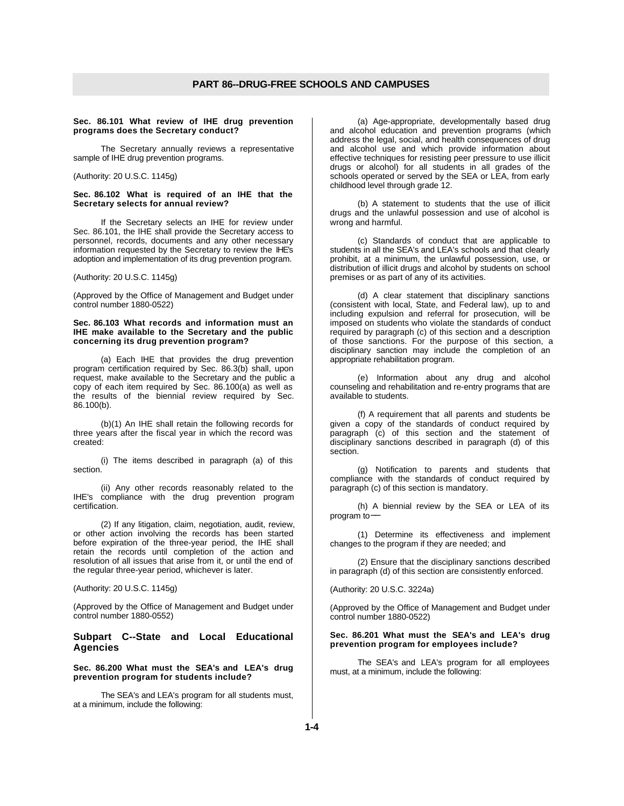#### **Sec. 86.101 What review of IHE drug prevention programs does the Secretary conduct?**

The Secretary annually reviews a representative sample of IHE drug prevention programs.

(Authority: 20 U.S.C. 1145g)

#### **Sec. 86.102 What is required of an IHE that the Secretary selects for annual review?**

If the Secretary selects an IHE for review under Sec. 86.101, the IHE shall provide the Secretary access to personnel, records, documents and any other necessary information requested by the Secretary to review the IHE's adoption and implementation of its drug prevention program.

(Authority: 20 U.S.C. 1145g)

(Approved by the Office of Management and Budget under control number 1880-0522)

#### **Sec. 86.103 What records and information must an IHE make available to the Secretary and the public concerning its drug prevention program?**

(a) Each IHE that provides the drug prevention program certification required by Sec. 86.3(b) shall, upon request, make available to the Secretary and the public a copy of each item required by Sec. 86.100(a) as well as the results of the biennial review required by Sec. 86.100(b).

(b)(1) An IHE shall retain the following records for three years after the fiscal year in which the record was created:

(i) The items described in paragraph (a) of this section.

(ii) Any other records reasonably related to the IHE's compliance with the drug prevention program certification.

(2) If any litigation, claim, negotiation, audit, review, or other action involving the records has been started before expiration of the three-year period, the IHE shall retain the records until completion of the action and resolution of all issues that arise from it, or until the end of the regular three-year period, whichever is later.

(Authority: 20 U.S.C. 1145g)

(Approved by the Office of Management and Budget under control number 1880-0552)

# **Subpart C--State and Local Educational Agencies**

# **Sec. 86.200 What must the SEA's and LEA's drug prevention program for students include?**

The SEA's and LEA's program for all students must, at a minimum, include the following:

(a) Age-appropriate, developmentally based drug and alcohol education and prevention programs (which address the legal, social, and health consequences of drug and alcohol use and which provide information about effective techniques for resisting peer pressure to use illicit drugs or alcohol) for all students in all grades of the schools operated or served by the SEA or LEA, from early childhood level through grade 12.

(b) A statement to students that the use of illicit drugs and the unlawful possession and use of alcohol is wrong and harmful.

(c) Standards of conduct that are applicable to students in all the SEA's and LEA's schools and that clearly prohibit, at a minimum, the unlawful possession, use, or distribution of illicit drugs and alcohol by students on school premises or as part of any of its activities.

(d) A clear statement that disciplinary sanctions (consistent with local, State, and Federal law), up to and including expulsion and referral for prosecution, will be imposed on students who violate the standards of conduct required by paragraph (c) of this section and a description of those sanctions. For the purpose of this section, a disciplinary sanction may include the completion of an appropriate rehabilitation program.

(e) Information about any drug and alcohol counseling and rehabilitation and re-entry programs that are available to students.

(f) A requirement that all parents and students be given a copy of the standards of conduct required by paragraph (c) of this section and the statement of disciplinary sanctions described in paragraph (d) of this section.

(g) Notification to parents and students that compliance with the standards of conduct required by paragraph (c) of this section is mandatory.

(h) A biennial review by the SEA or LEA of its program to-

(1) Determine its effectiveness and implement changes to the program if they are needed; and

(2) Ensure that the disciplinary sanctions described in paragraph (d) of this section are consistently enforced.

(Authority: 20 U.S.C. 3224a)

(Approved by the Office of Management and Budget under control number 1880-0522)

## **Sec. 86.201 What must the SEA's and LEA's drug prevention program for employees include?**

The SEA's and LEA's program for all employees must, at a minimum, include the following: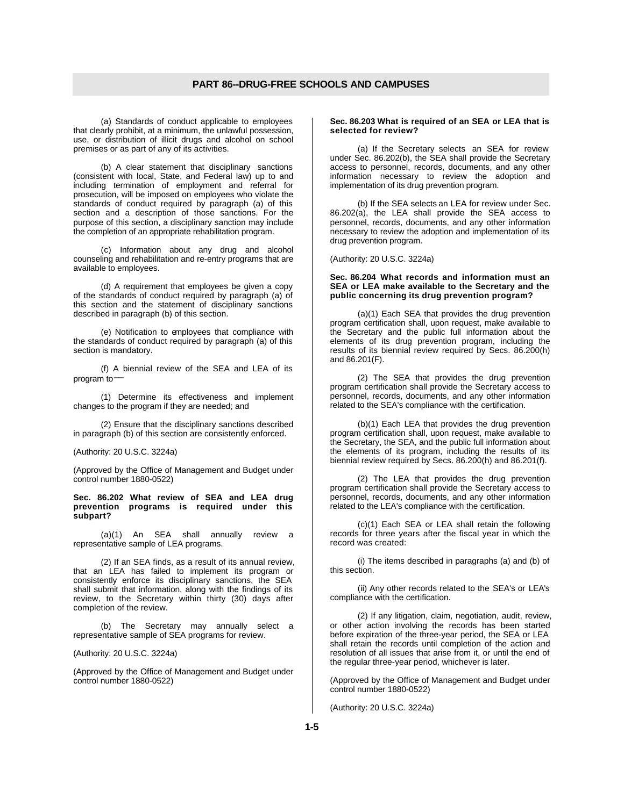(a) Standards of conduct applicable to employees that clearly prohibit, at a minimum, the unlawful possession, use, or distribution of illicit drugs and alcohol on school premises or as part of any of its activities.

(b) A clear statement that disciplinary sanctions (consistent with local, State, and Federal law) up to and including termination of employment and referral for prosecution, will be imposed on employees who violate the standards of conduct required by paragraph (a) of this section and a description of those sanctions. For the purpose of this section, a disciplinary sanction may include the completion of an appropriate rehabilitation program.

(c) Information about any drug and alcohol counseling and rehabilitation and re-entry programs that are available to employees.

(d) A requirement that employees be given a copy of the standards of conduct required by paragraph (a) of this section and the statement of disciplinary sanctions described in paragraph (b) of this section.

(e) Notification to employees that compliance with the standards of conduct required by paragraph (a) of this section is mandatory.

(f) A biennial review of the SEA and LEA of its program to-

(1) Determine its effectiveness and implement changes to the program if they are needed; and

(2) Ensure that the disciplinary sanctions described in paragraph (b) of this section are consistently enforced.

(Authority: 20 U.S.C. 3224a)

(Approved by the Office of Management and Budget under control number 1880-0522)

#### **Sec. 86.202 What review of SEA and LEA drug prevention programs is required under this subpart?**

(a)(1) An SEA shall annually review a representative sample of LEA programs.

(2) If an SEA finds, as a result of its annual review, that an LEA has failed to implement its program or consistently enforce its disciplinary sanctions, the SEA shall submit that information, along with the findings of its review, to the Secretary within thirty (30) days after completion of the review.

(b) The Secretary may annually select a representative sample of SEA programs for review.

(Authority: 20 U.S.C. 3224a)

(Approved by the Office of Management and Budget under control number 1880-0522)

#### **Sec. 86.203 What is required of an SEA or LEA that is selected for review?**

(a) If the Secretary selects an SEA for review under Sec. 86.202(b), the SEA shall provide the Secretary access to personnel, records, documents, and any other information necessary to review the adoption and implementation of its drug prevention program.

(b) If the SEA selects an LEA for review under Sec. 86.202(a), the LEA shall provide the SEA access to personnel, records, documents, and any other information necessary to review the adoption and implementation of its drug prevention program.

## (Authority: 20 U.S.C. 3224a)

#### **Sec. 86.204 What records and information must an SEA or LEA make available to the Secretary and the public concerning its drug prevention program?**

(a)(1) Each SEA that provides the drug prevention program certification shall, upon request, make available to the Secretary and the public full information about the elements of its drug prevention program, including the results of its biennial review required by Secs. 86.200(h) and 86.201(F).

(2) The SEA that provides the drug prevention program certification shall provide the Secretary access to personnel, records, documents, and any other information related to the SEA's compliance with the certification.

(b)(1) Each LEA that provides the drug prevention program certification shall, upon request, make available to the Secretary, the SEA, and the public full information about the elements of its program, including the results of its biennial review required by Secs. 86.200(h) and 86.201(f).

(2) The LEA that provides the drug prevention program certification shall provide the Secretary access to personnel, records, documents, and any other information related to the LEA's compliance with the certification.

(c)(1) Each SEA or LEA shall retain the following records for three years after the fiscal year in which the record was created:

(i) The items described in paragraphs (a) and (b) of this section.

(ii) Any other records related to the SEA's or LEA's compliance with the certification.

(2) If any litigation, claim, negotiation, audit, review, or other action involving the records has been started before expiration of the three-year period, the SEA or LEA shall retain the records until completion of the action and resolution of all issues that arise from it, or until the end of the regular three-year period, whichever is later.

(Approved by the Office of Management and Budget under control number 1880-0522)

(Authority: 20 U.S.C. 3224a)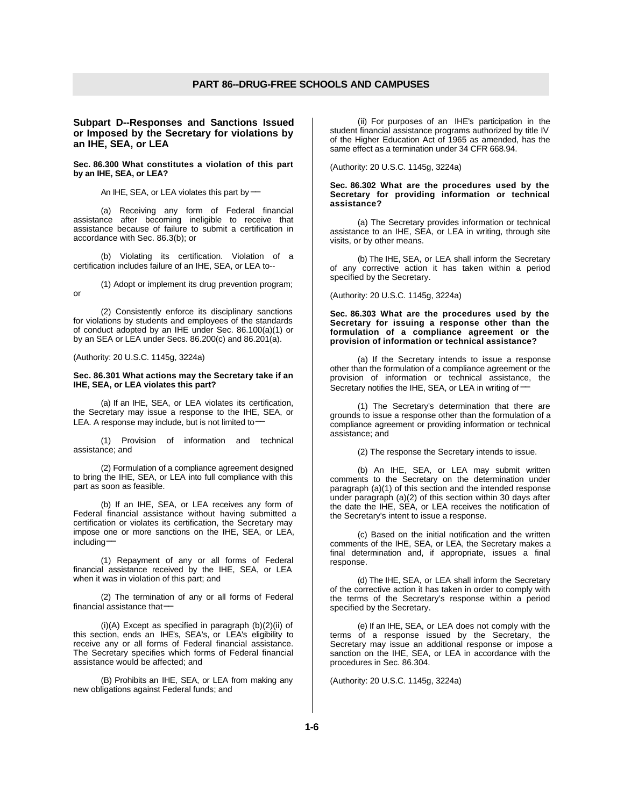**Subpart D--Responses and Sanctions Issued or Imposed by the Secretary for violations by an IHE, SEA, or LEA**

**Sec. 86.300 What constitutes a violation of this part by an IHE, SEA, or LEA?**

An IHE, SEA, or LEA violates this part by–−

(a) Receiving any form of Federal financial assistance after becoming ineligible to receive that assistance because of failure to submit a certification in accordance with Sec. 86.3(b); or

(b) Violating its certification. Violation of a certification includes failure of an IHE, SEA, or LEA to--

(1) Adopt or implement its drug prevention program; or

(2) Consistently enforce its disciplinary sanctions for violations by students and employees of the standards of conduct adopted by an IHE under Sec. 86.100(a)(1) or by an SEA or LEA under Secs. 86.200(c) and 86.201(a).

(Authority: 20 U.S.C. 1145g, 3224a)

#### **Sec. 86.301 What actions may the Secretary take if an IHE, SEA, or LEA violates this part?**

(a) If an IHE, SEA, or LEA violates its certification, the Secretary may issue a response to the IHE, SEA, or LEA. A response may include, but is not limited to−

(1) Provision of information and technical assistance; and

(2) Formulation of a compliance agreement designed to bring the IHE, SEA, or LEA into full compliance with this part as soon as feasible.

(b) If an IHE, SEA, or LEA receives any form of Federal financial assistance without having submitted a certification or violates its certification, the Secretary may impose one or more sanctions on the IHE, SEA, or LEA, including−−

(1) Repayment of any or all forms of Federal financial assistance received by the IHE, SEA, or LEA when it was in violation of this part; and

(2) The termination of any or all forms of Federal financial assistance that−−

(i)(A) Except as specified in paragraph (b)(2)(ii) of this section, ends an IHE's, SEA's, or LEA's eligibility to receive any or all forms of Federal financial assistance. The Secretary specifies which forms of Federal financial assistance would be affected; and

(B) Prohibits an IHE, SEA, or LEA from making any new obligations against Federal funds; and

(ii) For purposes of an IHE's participation in the student financial assistance programs authorized by title IV of the Higher Education Act of 1965 as amended, has the same effect as a termination under 34 CFR 668.94.

(Authority: 20 U.S.C. 1145g, 3224a)

#### **Sec. 86.302 What are the procedures used by the Secretary for providing information or technical assistance?**

(a) The Secretary provides information or technical assistance to an IHE, SEA, or LEA in writing, through site visits, or by other means.

(b) The IHE, SEA, or LEA shall inform the Secretary of any corrective action it has taken within a period specified by the Secretary.

(Authority: 20 U.S.C. 1145g, 3224a)

**Sec. 86.303 What are the procedures used by the Secretary for issuing a response other than the formulation of a compliance agreement or the provision of information or technical assistance?**

(a) If the Secretary intends to issue a response other than the formulation of a compliance agreement or the provision of information or technical assistance, the Secretary notifies the IHE, SEA, or LEA in writing of–

(1) The Secretary's determination that there are grounds to issue a response other than the formulation of a compliance agreement or providing information or technical assistance; and

(2) The response the Secretary intends to issue.

(b) An IHE, SEA, or LEA may submit written comments to the Secretary on the determination under paragraph (a)(1) of this section and the intended response under paragraph (a)(2) of this section within 30 days after the date the IHE, SEA, or LEA receives the notification of the Secretary's intent to issue a response.

(c) Based on the initial notification and the written comments of the IHE, SEA, or LEA, the Secretary makes a final determination and, if appropriate, issues a final response.

(d) The IHE, SEA, or LEA shall inform the Secretary of the corrective action it has taken in order to comply with the terms of the Secretary's response within a period specified by the Secretary.

(e) If an IHE, SEA, or LEA does not comply with the terms of a response issued by the Secretary, the Secretary may issue an additional response or impose a sanction on the IHE, SEA, or LEA in accordance with the procedures in Sec. 86.304.

(Authority: 20 U.S.C. 1145g, 3224a)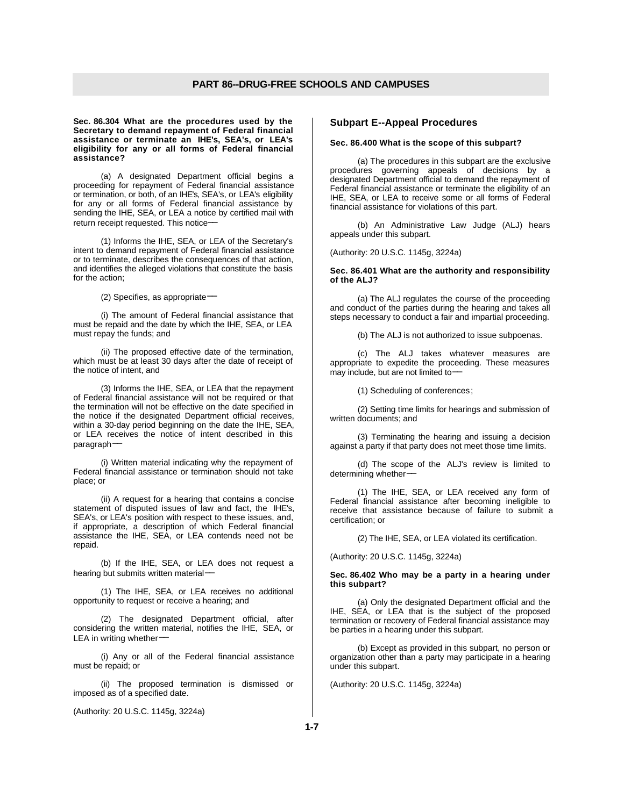**Sec. 86.304 What are the procedures used by the Secretary to demand repayment of Federal financial assistance or terminate an IHE's, SEA's, or LEA's eligibility for any or all forms of Federal financial assistance?**

(a) A designated Department official begins a proceeding for repayment of Federal financial assistance or termination, or both, of an IHE's, SEA's, or LEA's eligibility for any or all forms of Federal financial assistance by sending the IHE, SEA, or LEA a notice by certified mail with return receipt requested. This notice−−

(1) Informs the IHE, SEA, or LEA of the Secretary's intent to demand repayment of Federal financial assistance or to terminate, describes the consequences of that action, and identifies the alleged violations that constitute the basis for the action;

(2) Specifies, as appropriate-

(i) The amount of Federal financial assistance that must be repaid and the date by which the IHE, SEA, or LEA must repay the funds; and

(ii) The proposed effective date of the termination, which must be at least 30 days after the date of receipt of the notice of intent, and

(3) Informs the IHE, SEA, or LEA that the repayment of Federal financial assistance will not be required or that the termination will not be effective on the date specified in the notice if the designated Department official receives, within a 30-day period beginning on the date the IHE, SEA, or LEA receives the notice of intent described in this paragraph-

(i) Written material indicating why the repayment of Federal financial assistance or termination should not take place; or

(ii) A request for a hearing that contains a concise statement of disputed issues of law and fact, the IHE's, SEA's, or LEA's position with respect to these issues, and, if appropriate, a description of which Federal financial assistance the IHE, SEA, or LEA contends need not be repaid.

(b) If the IHE, SEA, or LEA does not request a hearing but submits written material-

(1) The IHE, SEA, or LEA receives no additional opportunity to request or receive a hearing; and

(2) The designated Department official, after considering the written material, notifies the IHE, SEA, or LEA in writing whether-

(i) Any or all of the Federal financial assistance must be repaid; or

(ii) The proposed termination is dismissed or imposed as of a specified date.

(Authority: 20 U.S.C. 1145g, 3224a)

## **Subpart E--Appeal Procedures**

#### **Sec. 86.400 What is the scope of this subpart?**

(a) The procedures in this subpart are the exclusive procedures governing appeals of decisions by a designated Department official to demand the repayment of Federal financial assistance or terminate the eligibility of an IHE, SEA, or LEA to receive some or all forms of Federal financial assistance for violations of this part.

(b) An Administrative Law Judge (ALJ) hears appeals under this subpart.

(Authority: 20 U.S.C. 1145g, 3224a)

#### **Sec. 86.401 What are the authority and responsibility of the ALJ?**

(a) The ALJ regulates the course of the proceeding and conduct of the parties during the hearing and takes all steps necessary to conduct a fair and impartial proceeding.

(b) The ALJ is not authorized to issue subpoenas.

(c) The ALJ takes whatever measures are appropriate to expedite the proceeding. These measures may include, but are not limited to−−

(1) Scheduling of conferences;

(2) Setting time limits for hearings and submission of written documents; and

(3) Terminating the hearing and issuing a decision against a party if that party does not meet those time limits.

(d) The scope of the ALJ's review is limited to determining whether-

(1) The IHE, SEA, or LEA received any form of Federal financial assistance after becoming ineligible to receive that assistance because of failure to submit a certification; or

(2) The IHE, SEA, or LEA violated its certification.

(Authority: 20 U.S.C. 1145g, 3224a)

**Sec. 86.402 Who may be a party in a hearing under this subpart?**

(a) Only the designated Department official and the IHE, SEA, or LEA that is the subject of the proposed termination or recovery of Federal financial assistance may be parties in a hearing under this subpart.

(b) Except as provided in this subpart, no person or organization other than a party may participate in a hearing under this subpart.

(Authority: 20 U.S.C. 1145g, 3224a)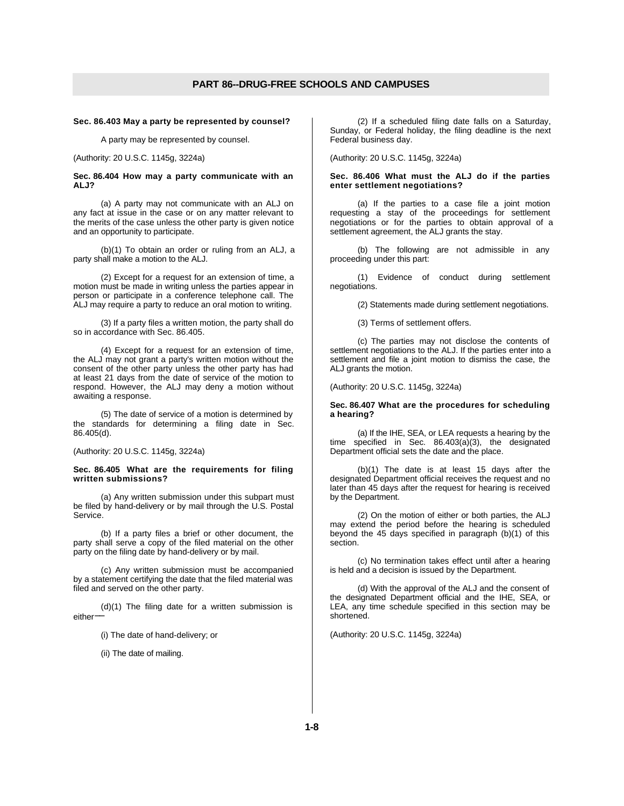#### **Sec. 86.403 May a party be represented by counsel?**

A party may be represented by counsel.

(Authority: 20 U.S.C. 1145g, 3224a)

#### **Sec. 86.404 How may a party communicate with an ALJ?**

(a) A party may not communicate with an ALJ on any fact at issue in the case or on any matter relevant to the merits of the case unless the other party is given notice and an opportunity to participate.

(b)(1) To obtain an order or ruling from an ALJ, a party shall make a motion to the ALJ.

(2) Except for a request for an extension of time, a motion must be made in writing unless the parties appear in person or participate in a conference telephone call. The ALJ may require a party to reduce an oral motion to writing.

(3) If a party files a written motion, the party shall do so in accordance with Sec. 86.405.

(4) Except for a request for an extension of time, the ALJ may not grant a party's written motion without the consent of the other party unless the other party has had at least 21 days from the date of service of the motion to respond. However, the ALJ may deny a motion without awaiting a response.

(5) The date of service of a motion is determined by the standards for determining a filing date in Sec. 86.405(d).

#### (Authority: 20 U.S.C. 1145g, 3224a)

#### **Sec. 86.405 What are the requirements for filing written submissions?**

(a) Any written submission under this subpart must be filed by hand-delivery or by mail through the U.S. Postal Service.

(b) If a party files a brief or other document, the party shall serve a copy of the filed material on the other party on the filing date by hand-delivery or by mail.

(c) Any written submission must be accompanied by a statement certifying the date that the filed material was filed and served on the other party.

(d)(1) The filing date for a written submission is either−−

(i) The date of hand-delivery; or

(ii) The date of mailing.

(2) If a scheduled filing date falls on a Saturday, Sunday, or Federal holiday, the filing deadline is the next Federal business day.

(Authority: 20 U.S.C. 1145g, 3224a)

#### **Sec. 86.406 What must the ALJ do if the parties enter settlement negotiations?**

(a) If the parties to a case file a joint motion requesting a stay of the proceedings for settlement negotiations or for the parties to obtain approval of a settlement agreement, the ALJ grants the stay.

(b) The following are not admissible in any proceeding under this part:

(1) Evidence of conduct during settlement negotiations.

(2) Statements made during settlement negotiations.

(3) Terms of settlement offers.

(c) The parties may not disclose the contents of settlement negotiations to the ALJ. If the parties enter into a settlement and file a joint motion to dismiss the case, the ALJ grants the motion.

### (Authority: 20 U.S.C. 1145g, 3224a)

#### **Sec. 86.407 What are the procedures for scheduling a hearing?**

(a) If the IHE, SEA, or LEA requests a hearing by the time specified in Sec. 86.403(a)(3), the designated Department official sets the date and the place.

(b)(1) The date is at least 15 days after the designated Department official receives the request and no later than 45 days after the request for hearing is received by the Department.

(2) On the motion of either or both parties, the ALJ may extend the period before the hearing is scheduled beyond the 45 days specified in paragraph (b)(1) of this section.

(c) No termination takes effect until after a hearing is held and a decision is issued by the Department.

(d) With the approval of the ALJ and the consent of the designated Department official and the IHE, SEA, or LEA, any time schedule specified in this section may be shortened.

(Authority: 20 U.S.C. 1145g, 3224a)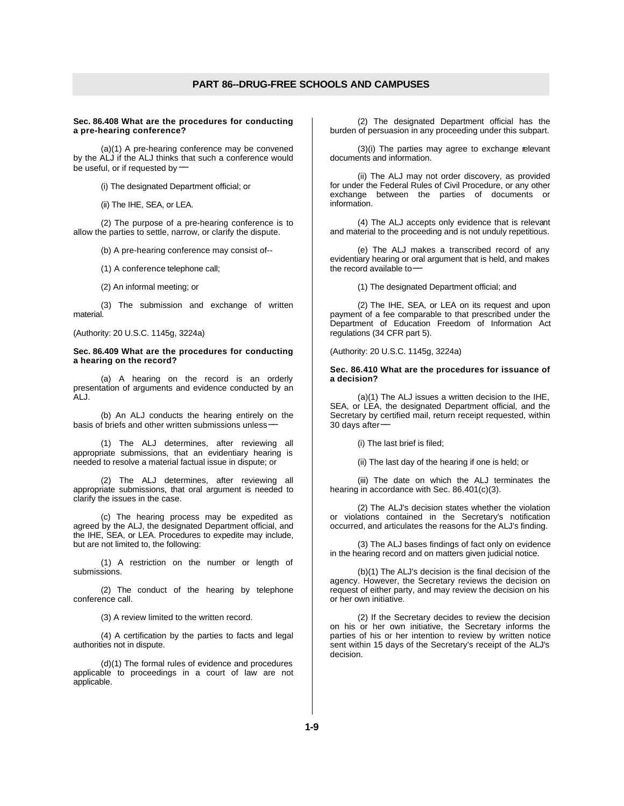#### **Sec. 86.408 What are the procedures for conducting a pre-hearing conference?**

(a)(1) A pre-hearing conference may be convened by the ALJ if the ALJ thinks that such a conference would be useful, or if requested by−

(i) The designated Department official; or

(ii) The IHE, SEA, or LEA.

(2) The purpose of a pre-hearing conference is to allow the parties to settle, narrow, or clarify the dispute.

(b) A pre-hearing conference may consist of--

(1) A conference telephone call;

(2) An informal meeting; or

(3) The submission and exchange of written material.

(Authority: 20 U.S.C. 1145g, 3224a)

#### **Sec. 86.409 What are the procedures for conducting a hearing on the record?**

(a) A hearing on the record is an orderly presentation of arguments and evidence conducted by an ALJ.

(b) An ALJ conducts the hearing entirely on the basis of briefs and other written submissions unless−−

(1) The ALJ determines, after reviewing all appropriate submissions, that an evidentiary hearing is needed to resolve a material factual issue in dispute; or

(2) The ALJ determines, after reviewing all appropriate submissions, that oral argument is needed to clarify the issues in the case.

(c) The hearing process may be expedited as agreed by the ALJ, the designated Department official, and the IHE, SEA, or LEA. Procedures to expedite may include, but are not limited to, the following:

(1) A restriction on the number or length of submissions.

(2) The conduct of the hearing by telephone conference call.

(3) A review limited to the written record.

(4) A certification by the parties to facts and legal authorities not in dispute.

(d)(1) The formal rules of evidence and procedures applicable to proceedings in a court of law are not applicable.

(2) The designated Department official has the burden of persuasion in any proceeding under this subpart.

(3)(i) The parties may agree to exchange relevant documents and information.

(ii) The ALJ may not order discovery, as provided for under the Federal Rules of Civil Procedure, or any other exchange between the parties of documents or information.

(4) The ALJ accepts only evidence that is relevant and material to the proceeding and is not unduly repetitious.

(e) The ALJ makes a transcribed record of any evidentiary hearing or oral argument that is held, and makes the record available to−−

(1) The designated Department official; and

(2) The IHE, SEA, or LEA on its request and upon payment of a fee comparable to that prescribed under the Department of Education Freedom of Information Act regulations (34 CFR part 5).

(Authority: 20 U.S.C. 1145g, 3224a)

#### **Sec. 86.410 What are the procedures for issuance of a decision?**

(a)(1) The ALJ issues a written decision to the IHE, SEA, or LEA, the designated Department official, and the Secretary by certified mail, return receipt requested, within 30 days after-

(i) The last brief is filed;

(ii) The last day of the hearing if one is held; or

(iii) The date on which the ALJ terminates the hearing in accordance with Sec. 86.401(c)(3).

(2) The ALJ's decision states whether the violation or violations contained in the Secretary's notification occurred, and articulates the reasons for the ALJ's finding.

(3) The ALJ bases findings of fact only on evidence in the hearing record and on matters given judicial notice.

(b)(1) The ALJ's decision is the final decision of the agency. However, the Secretary reviews the decision on request of either party, and may review the decision on his or her own initiative.

(2) If the Secretary decides to review the decision on his or her own initiative, the Secretary informs the parties of his or her intention to review by written notice sent within 15 days of the Secretary's receipt of the ALJ's decision.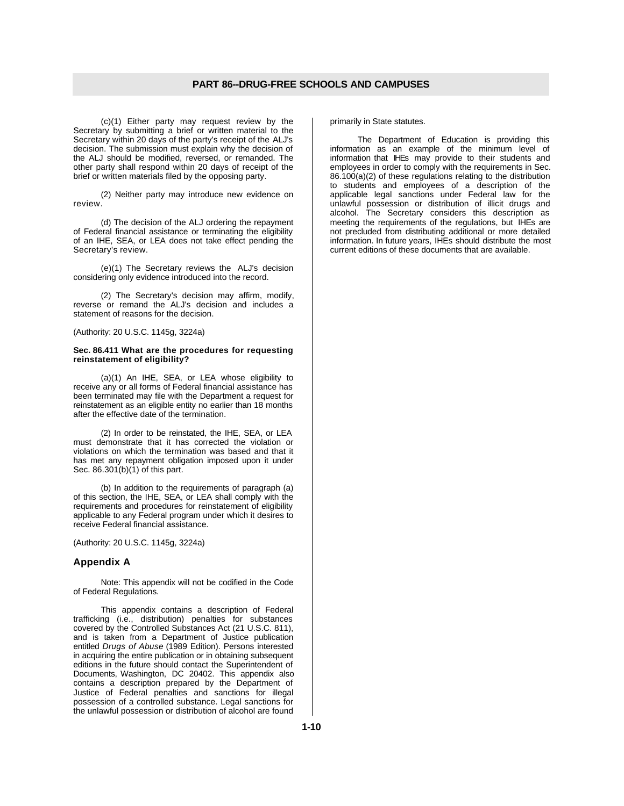(c)(1) Either party may request review by the Secretary by submitting a brief or written material to the Secretary within 20 days of the party's receipt of the ALJ's decision. The submission must explain why the decision of the ALJ should be modified, reversed, or remanded. The other party shall respond within 20 days of receipt of the brief or written materials filed by the opposing party.

(2) Neither party may introduce new evidence on review.

(d) The decision of the ALJ ordering the repayment of Federal financial assistance or terminating the eligibility of an IHE, SEA, or LEA does not take effect pending the Secretary's review.

(e)(1) The Secretary reviews the ALJ's decision considering only evidence introduced into the record.

(2) The Secretary's decision may affirm, modify, reverse or remand the ALJ's decision and includes a statement of reasons for the decision.

(Authority: 20 U.S.C. 1145g, 3224a)

#### **Sec. 86.411 What are the procedures for requesting reinstatement of eligibility?**

(a)(1) An IHE, SEA, or LEA whose eligibility to receive any or all forms of Federal financial assistance has been terminated may file with the Department a request for reinstatement as an eligible entity no earlier than 18 months after the effective date of the termination.

(2) In order to be reinstated, the IHE, SEA, or LEA must demonstrate that it has corrected the violation or violations on which the termination was based and that it has met any repayment obligation imposed upon it under Sec. 86.301(b)(1) of this part.

(b) In addition to the requirements of paragraph (a) of this section, the IHE, SEA, or LEA shall comply with the requirements and procedures for reinstatement of eligibility applicable to any Federal program under which it desires to receive Federal financial assistance.

(Authority: 20 U.S.C. 1145g, 3224a)

## **Appendix A**

Note: This appendix will not be codified in the Code of Federal Regulations.

This appendix contains a description of Federal trafficking (i.e., distribution) penalties for substances covered by the Controlled Substances Act (21 U.S.C. 811), and is taken from a Department of Justice publication entitled *Drugs of Abuse* (1989 Edition). Persons interested in acquiring the entire publication or in obtaining subsequent editions in the future should contact the Superintendent of Documents, Washington, DC 20402. This appendix also contains a description prepared by the Department of Justice of Federal penalties and sanctions for illegal possession of a controlled substance. Legal sanctions for the unlawful possession or distribution of alcohol are found

primarily in State statutes.

The Department of Education is providing this information as an example of the minimum level of information that IHEs may provide to their students and employees in order to comply with the requirements in Sec. 86.100(a)(2) of these regulations relating to the distribution to students and employees of a description of the applicable legal sanctions under Federal law for the unlawful possession or distribution of illicit drugs and alcohol. The Secretary considers this description as meeting the requirements of the regulations, but IHEs are not precluded from distributing additional or more detailed information. In future years, IHEs should distribute the most current editions of these documents that are available.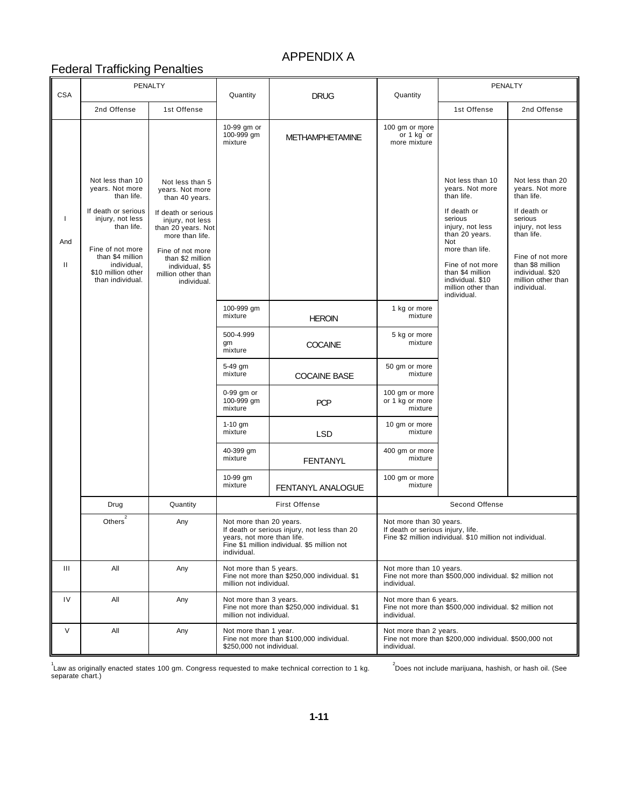# APPENDIX A

# Federal Trafficking Penalties

| <b>CSA</b>                | PENALTY                                                                                                                                                                                                                                                                                                                                                                                                                                                 |             | Quantity<br><b>DRUG</b>                                              |                                                                                              | Quantity                                                                                                                  | PENALTY                                                                                                                                                                                                                                      |                                                                                                                                                                                                                |  |
|---------------------------|---------------------------------------------------------------------------------------------------------------------------------------------------------------------------------------------------------------------------------------------------------------------------------------------------------------------------------------------------------------------------------------------------------------------------------------------------------|-------------|----------------------------------------------------------------------|----------------------------------------------------------------------------------------------|---------------------------------------------------------------------------------------------------------------------------|----------------------------------------------------------------------------------------------------------------------------------------------------------------------------------------------------------------------------------------------|----------------------------------------------------------------------------------------------------------------------------------------------------------------------------------------------------------------|--|
|                           | 2nd Offense                                                                                                                                                                                                                                                                                                                                                                                                                                             | 1st Offense |                                                                      |                                                                                              |                                                                                                                           | 1st Offense                                                                                                                                                                                                                                  | 2nd Offense                                                                                                                                                                                                    |  |
|                           |                                                                                                                                                                                                                                                                                                                                                                                                                                                         |             | 10-99 gm or<br>100-999 gm<br>mixture                                 | <b>METHAMPHETAMINE</b>                                                                       | 100 gm or more<br>or 1 kg or<br>more mixture                                                                              |                                                                                                                                                                                                                                              |                                                                                                                                                                                                                |  |
| Τ.<br>And<br>$\mathbf{H}$ | Not less than 10<br>Not less than 5<br>years. Not more<br>years. Not more<br>than life.<br>than 40 years.<br>If death or serious<br>If death or serious<br>injury, not less<br>injury, not less<br>than life.<br>than 20 years. Not<br>more than life.<br>Fine of not more<br>Fine of not more<br>than \$4 million<br>than \$2 million<br>individual,<br>individual, \$5<br>\$10 million other<br>million other than<br>than individual.<br>individual. |             |                                                                      |                                                                                              |                                                                                                                           | Not less than 10<br>years. Not more<br>than life.<br>If death or<br>serious<br>injury, not less<br>than 20 years.<br>Not<br>more than life.<br>Fine of not more<br>than \$4 million<br>individual. \$10<br>million other than<br>individual. | Not less than 20<br>years. Not more<br>than life.<br>If death or<br>serious<br>injury, not less<br>than life.<br>Fine of not more<br>than \$8 million<br>individual. \$20<br>million other than<br>individual. |  |
|                           |                                                                                                                                                                                                                                                                                                                                                                                                                                                         |             | 100-999 gm<br>mixture                                                | <b>HEROIN</b>                                                                                | 1 kg or more<br>mixture                                                                                                   |                                                                                                                                                                                                                                              |                                                                                                                                                                                                                |  |
|                           |                                                                                                                                                                                                                                                                                                                                                                                                                                                         |             | 500-4.999<br>gm<br>mixture                                           | <b>COCAINE</b>                                                                               | 5 kg or more<br>mixture                                                                                                   |                                                                                                                                                                                                                                              |                                                                                                                                                                                                                |  |
|                           |                                                                                                                                                                                                                                                                                                                                                                                                                                                         |             | 5-49 gm<br>mixture                                                   | <b>COCAINE BASE</b>                                                                          | 50 gm or more<br>mixture                                                                                                  |                                                                                                                                                                                                                                              |                                                                                                                                                                                                                |  |
|                           |                                                                                                                                                                                                                                                                                                                                                                                                                                                         |             | 0-99 gm or<br>100-999 gm<br>mixture                                  | <b>PCP</b>                                                                                   | 100 gm or more<br>or 1 kg or more<br>mixture                                                                              |                                                                                                                                                                                                                                              |                                                                                                                                                                                                                |  |
|                           |                                                                                                                                                                                                                                                                                                                                                                                                                                                         |             | $1-10$ gm<br>mixture                                                 | <b>LSD</b>                                                                                   | 10 gm or more<br>mixture                                                                                                  |                                                                                                                                                                                                                                              |                                                                                                                                                                                                                |  |
|                           |                                                                                                                                                                                                                                                                                                                                                                                                                                                         |             | 40-399 gm<br>mixture                                                 | <b>FENTANYL</b>                                                                              | 400 gm or more<br>mixture                                                                                                 |                                                                                                                                                                                                                                              |                                                                                                                                                                                                                |  |
|                           |                                                                                                                                                                                                                                                                                                                                                                                                                                                         |             | 10-99 gm<br>mixture                                                  | FENTANYL ANALOGUE                                                                            | 100 gm or more<br>mixture                                                                                                 |                                                                                                                                                                                                                                              |                                                                                                                                                                                                                |  |
|                           | Drug                                                                                                                                                                                                                                                                                                                                                                                                                                                    | Quantity    |                                                                      | <b>First Offense</b>                                                                         | Second Offense                                                                                                            |                                                                                                                                                                                                                                              |                                                                                                                                                                                                                |  |
|                           | $\overline{a}$<br>Others                                                                                                                                                                                                                                                                                                                                                                                                                                | Any         | Not more than 20 years.<br>years, not more than life.<br>individual. | If death or serious injury, not less than 20<br>Fine \$1 million individual. \$5 million not | Not more than 30 years.<br>If death or serious injury, life.<br>Fine \$2 million individual. \$10 million not individual. |                                                                                                                                                                                                                                              |                                                                                                                                                                                                                |  |
| Ш                         | All                                                                                                                                                                                                                                                                                                                                                                                                                                                     | Any         | Not more than 5 years.<br>million not individual.                    | Fine not more than \$250,000 individual. \$1                                                 | Not more than 10 years.<br>Fine not more than \$500,000 individual. \$2 million not<br>individual.                        |                                                                                                                                                                                                                                              |                                                                                                                                                                                                                |  |
| IV                        | All                                                                                                                                                                                                                                                                                                                                                                                                                                                     | Any         | Not more than 3 years.<br>million not individual.                    | Fine not more than \$250,000 individual. \$1                                                 | Not more than 6 years.<br>Fine not more than \$500,000 individual. \$2 million not<br>individual.                         |                                                                                                                                                                                                                                              |                                                                                                                                                                                                                |  |
| $\vee$                    | All                                                                                                                                                                                                                                                                                                                                                                                                                                                     | Any         | Not more than 1 year.<br>\$250,000 not individual.                   | Fine not more than \$100,000 individual.                                                     | Not more than 2 years.<br>Fine not more than \$200,000 individual. \$500,000 not<br>individual.                           |                                                                                                                                                                                                                                              |                                                                                                                                                                                                                |  |

<sup>1</sup>Law as originally enacted states 100 gm. Congress requested to make technical correction to 1 kg.<br>separate chart.)

<sup>2</sup><br>Does not include marijuana, hashish, or hash oil. (See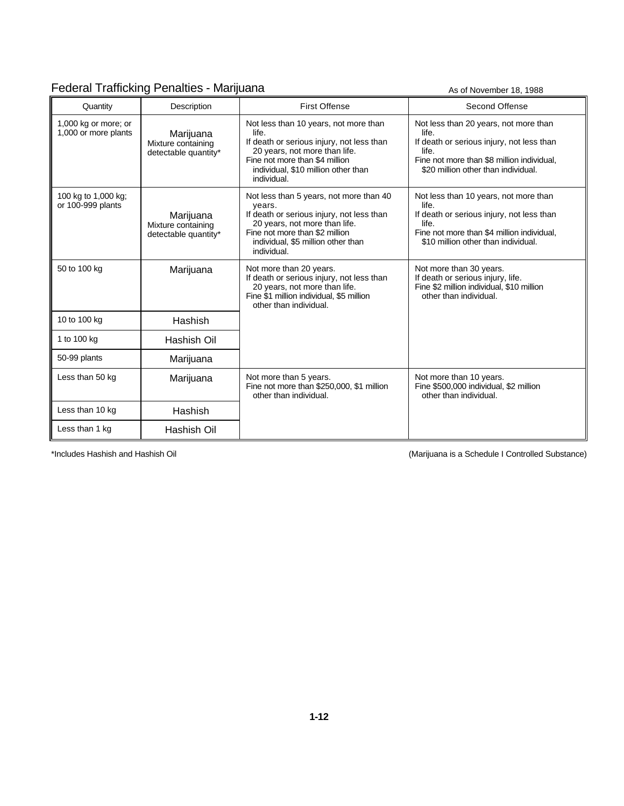# Federal Trafficking Penalties - Marijuana As of November 18, 1988

| Quantity                                     | Description                                             | <b>First Offense</b>                                                                                                                                                                                                   | Second Offense                                                                                                                                                                            |
|----------------------------------------------|---------------------------------------------------------|------------------------------------------------------------------------------------------------------------------------------------------------------------------------------------------------------------------------|-------------------------------------------------------------------------------------------------------------------------------------------------------------------------------------------|
| 1,000 kg or more; or<br>1,000 or more plants | Marijuana<br>Mixture containing<br>detectable quantity* | Not less than 10 years, not more than<br>life.<br>If death or serious injury, not less than<br>20 years, not more than life.<br>Fine not more than \$4 million<br>individual, \$10 million other than<br>individual.   | Not less than 20 years, not more than<br>life.<br>If death or serious injury, not less than<br>life.<br>Fine not more than \$8 million individual,<br>\$20 million other than individual. |
| 100 kg to 1,000 kg;<br>or 100-999 plants     | Marijuana<br>Mixture containing<br>detectable quantity* | Not less than 5 years, not more than 40<br>years.<br>If death or serious injury, not less than<br>20 years, not more than life.<br>Fine not more than \$2 million<br>individual, \$5 million other than<br>individual. | Not less than 10 years, not more than<br>life.<br>If death or serious injury, not less than<br>life.<br>Fine not more than \$4 million individual,<br>\$10 million other than individual. |
| 50 to 100 kg                                 | Marijuana                                               | Not more than 20 years.<br>If death or serious injury, not less than<br>20 years, not more than life.<br>Fine \$1 million individual, \$5 million<br>other than individual.                                            | Not more than 30 years.<br>If death or serious injury, life.<br>Fine \$2 million individual, \$10 million<br>other than individual.                                                       |
| 10 to 100 kg                                 | Hashish                                                 |                                                                                                                                                                                                                        |                                                                                                                                                                                           |
| 1 to 100 kg                                  | Hashish Oil                                             |                                                                                                                                                                                                                        |                                                                                                                                                                                           |
| 50-99 plants                                 | Marijuana                                               |                                                                                                                                                                                                                        |                                                                                                                                                                                           |
| Less than 50 kg                              | Marijuana                                               | Not more than 5 years.<br>Fine not more than \$250,000, \$1 million<br>other than individual.                                                                                                                          | Not more than 10 years.<br>Fine \$500,000 individual, \$2 million<br>other than individual.                                                                                               |
| Less than 10 kg                              | Hashish                                                 |                                                                                                                                                                                                                        |                                                                                                                                                                                           |
| Less than 1 kg                               | Hashish Oil                                             |                                                                                                                                                                                                                        |                                                                                                                                                                                           |

\*Includes Hashish and Hashish Oil (Marijuana is a Schedule I Controlled Substance)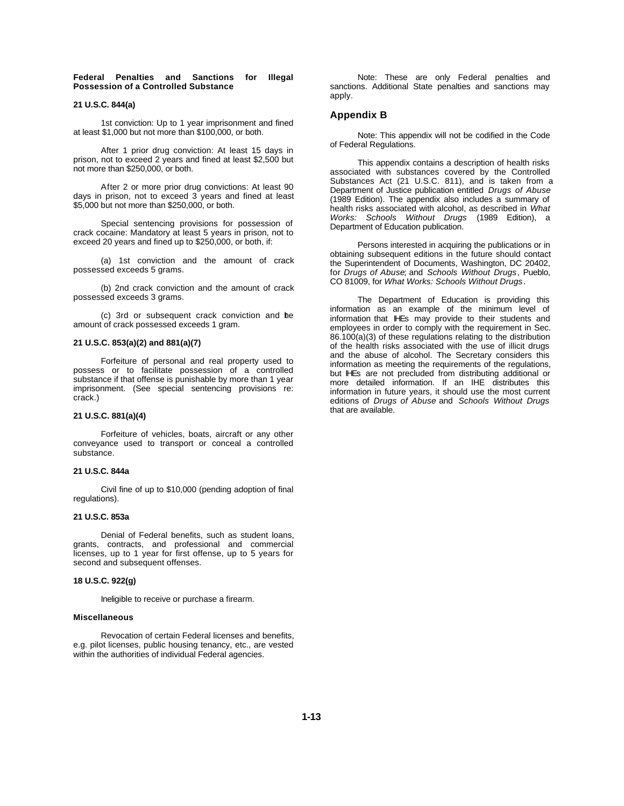#### **Federal Penalties and Sanctions for Illegal Possession of a Controlled Substance**

#### **21 U.S.C. 844(a)**

1st conviction: Up to 1 year imprisonment and fined at least \$1,000 but not more than \$100,000, or both.

After 1 prior drug conviction: At least 15 days in prison, not to exceed 2 years and fined at least \$2,500 but not more than \$250,000, or both.

After 2 or more prior drug convictions: At least 90 days in prison, not to exceed 3 years and fined at least \$5,000 but not more than \$250,000, or both.

Special sentencing provisions for possession of crack cocaine: Mandatory at least 5 years in prison, not to exceed 20 years and fined up to \$250,000, or both, if:

(a) 1st conviction and the amount of crack possessed exceeds 5 grams.

(b) 2nd crack conviction and the amount of crack possessed exceeds 3 grams.

(c) 3rd or subsequent crack conviction and the amount of crack possessed exceeds 1 gram.

### **21 U.S.C. 853(a)(2) and 881(a)(7)**

Forfeiture of personal and real property used to possess or to facilitate possession of a controlled substance if that offense is punishable by more than 1 year imprisonment. (See special sentencing provisions re: crack.)

#### **21 U.S.C. 881(a)(4)**

Forfeiture of vehicles, boats, aircraft or any other conveyance used to transport or conceal a controlled substance.

## **21 U.S.C. 844a**

Civil fine of up to \$10,000 (pending adoption of final regulations).

### **21 U.S.C. 853a**

Denial of Federal benefits, such as student loans, grants, contracts, and professional and commercial licenses, up to 1 year for first offense, up to 5 years for second and subsequent offenses.

#### **18 U.S.C. 922(g)**

Ineligible to receive or purchase a firearm.

#### **Miscellaneous**

Revocation of certain Federal licenses and benefits, e.g. pilot licenses, public housing tenancy, etc., are vested within the authorities of individual Federal agencies.

Note: These are only Federal penalties and sanctions. Additional State penalties and sanctions may apply.

## **Appendix B**

Note: This appendix will not be codified in the Code of Federal Regulations.

This appendix contains a description of health risks associated with substances covered by the Controlled Substances Act (21 U.S.C. 811), and is taken from a Department of Justice publication entitled *Drugs of Abuse* (1989 Edition). The appendix also includes a summary of health risks associated with alcohol, as described in *What Works: Schools Without Drugs* (1989 Edition), a Department of Education publication.

Persons interested in acquiring the publications or in obtaining subsequent editions in the future should contact the Superintendent of Documents, Washington, DC 20402, for *Drugs of Abuse*; and *Schools Without Drugs*, Pueblo, CO 81009, for *What Works: Schools Without Drugs*.

The Department of Education is providing this information as an example of the minimum level of information that IHEs may provide to their students and employees in order to comply with the requirement in Sec. 86.100(a)(3) of these regulations relating to the distribution of the health risks associated with the use of illicit drugs and the abuse of alcohol. The Secretary considers this information as meeting the requirements of the regulations, but IHEs are not precluded from distributing additional or more detailed information. If an IHE distributes this information in future years, it should use the most current editions of *Drugs of Abuse* and *Schools Without Drugs* that are available.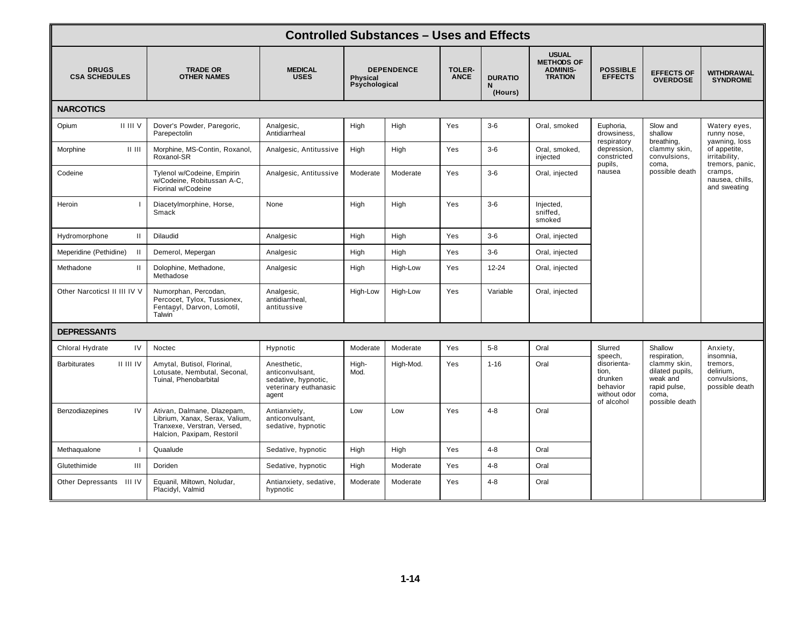| <b>Controlled Substances - Uses and Effects</b> |                                                                                                                           |                                                                                         |                                                       |           |                              |                                |                                                                        |                                                                           |                                                                                                                   |                                                                                                                                                |
|-------------------------------------------------|---------------------------------------------------------------------------------------------------------------------------|-----------------------------------------------------------------------------------------|-------------------------------------------------------|-----------|------------------------------|--------------------------------|------------------------------------------------------------------------|---------------------------------------------------------------------------|-------------------------------------------------------------------------------------------------------------------|------------------------------------------------------------------------------------------------------------------------------------------------|
| <b>DRUGS</b><br><b>CSA SCHEDULES</b>            | <b>TRADE OR</b><br><b>OTHER NAMES</b>                                                                                     | <b>MEDICAL</b><br><b>USES</b>                                                           | <b>DEPENDENCE</b><br><b>Physical</b><br>Psychological |           | <b>TOLER-</b><br><b>ANCE</b> | <b>DURATIO</b><br>N<br>(Hours) | <b>USUAL</b><br><b>METHODS OF</b><br><b>ADMINIS-</b><br><b>TRATION</b> | <b>POSSIBLE</b><br><b>EFFECTS</b>                                         | <b>EFFECTS OF</b><br><b>OVERDOSE</b>                                                                              | WITHDRAWAL<br><b>SYNDROME</b>                                                                                                                  |
| <b>NARCOTICS</b>                                |                                                                                                                           |                                                                                         |                                                       |           |                              |                                |                                                                        |                                                                           |                                                                                                                   |                                                                                                                                                |
| II III V<br>Opium                               | Dover's Powder, Paregoric,<br>Parepectolin                                                                                | Analgesic,<br>Antidiarrheal                                                             | High                                                  | High      | Yes                          | $3-6$                          | Oral, smoked                                                           | Euphoria,<br>drowsiness,<br>respiratory                                   | Slow and<br>shallow<br>breathing,<br>clammy skin,<br>convulsions,<br>coma,<br>possible death                      | Watery eyes,<br>runny nose,<br>yawning, loss<br>of appetite,<br>irritability,<br>tremors, panic,<br>cramps,<br>nausea, chills,<br>and sweating |
| Morphine<br>$  $ $  $                           | Morphine, MS-Contin, Roxanol,<br>Roxanol-SR                                                                               | Analgesic, Antitussive                                                                  | High                                                  | High      | Yes                          | $3-6$                          | Oral, smoked,<br>injected                                              | depression,<br>constricted<br>pupils,                                     |                                                                                                                   |                                                                                                                                                |
| Codeine                                         | Tylenol w/Codeine, Empirin<br>w/Codeine, Robitussan A-C,<br>Fiorinal w/Codeine                                            | Analgesic, Antitussive                                                                  | Moderate                                              | Moderate  | Yes                          | $3-6$                          | Oral, injected                                                         | nausea                                                                    |                                                                                                                   |                                                                                                                                                |
| Heroin                                          | Diacetylmorphine, Horse,<br>Smack                                                                                         | None                                                                                    | High                                                  | High      | Yes                          | $3-6$                          | Injected,<br>sniffed,<br>smoked                                        |                                                                           |                                                                                                                   |                                                                                                                                                |
| $\mathbf{II}$<br>Hydromorphone                  | Dilaudid                                                                                                                  | Analgesic                                                                               | High                                                  | High      | Yes                          | $3-6$                          | Oral, injected                                                         |                                                                           |                                                                                                                   |                                                                                                                                                |
| Meperidine (Pethidine)                          | Demerol, Mepergan                                                                                                         | Analgesic                                                                               | High                                                  | High      | Yes                          | $3-6$                          | Oral, injected                                                         |                                                                           |                                                                                                                   |                                                                                                                                                |
| $\mathbf{H}$<br>Methadone                       | Dolophine, Methadone,<br>Methadose                                                                                        | Analgesic                                                                               | High                                                  | High-Low  | Yes                          | 12-24                          | Oral, injected                                                         |                                                                           |                                                                                                                   |                                                                                                                                                |
| Other NarcoticsI II III IV V                    | Numorphan, Percodan,<br>Percocet, Tylox, Tussionex,<br>Fentanyl, Darvon, Lomotil,<br>Talwin <sup>-</sup>                  | Analgesic,<br>antidiarrheal,<br>antitussive                                             | High-Low                                              | High-Low  | Yes                          | Variable                       | Oral, injected                                                         |                                                                           |                                                                                                                   |                                                                                                                                                |
| <b>DEPRESSANTS</b>                              |                                                                                                                           |                                                                                         |                                                       |           |                              |                                |                                                                        |                                                                           |                                                                                                                   |                                                                                                                                                |
| IV<br>Chloral Hydrate                           | Noctec                                                                                                                    | Hypnotic                                                                                | Moderate                                              | Moderate  | Yes                          | $5-8$                          | Oral                                                                   | Slurred<br>speech,                                                        | Shallow<br>respiration,<br>clammy skin,<br>dilated pupils,<br>weak and<br>rapid pulse,<br>coma,<br>possible death | Anxiety,<br>insomnia,<br>tremors,<br>delirium,<br>convulsions,<br>possible death                                                               |
| II III IV<br><b>Barbiturates</b>                | Amytal, Butisol, Florinal,<br>Lotusate, Nembutal, Seconal,<br>Tuinal, Phenobarbital                                       | Anesthetic,<br>anticonvulsant,<br>sedative, hypnotic,<br>veterinary euthanasic<br>agent | High-<br>Mod.                                         | High-Mod. | Yes                          | $1 - 16$                       | Oral                                                                   | disorienta-<br>tion,<br>drunken<br>behavior<br>without odor<br>of alcohol |                                                                                                                   |                                                                                                                                                |
| IV<br>Benzodiazepines                           | Ativan, Dalmane, Dlazepam,<br>Librium, Xanax, Serax, Valium,<br>Tranxexe, Verstran, Versed,<br>Halcion, Paxipam, Restoril | Antianxiety,<br>anticonvulsant,<br>sedative, hypnotic                                   | Low                                                   | Low       | Yes                          | $4 - 8$                        | Oral                                                                   |                                                                           |                                                                                                                   |                                                                                                                                                |
| Methaqualone                                    | Quaalude                                                                                                                  | Sedative, hypnotic                                                                      | High                                                  | High      | Yes                          | $4 - 8$                        | Oral                                                                   |                                                                           |                                                                                                                   |                                                                                                                                                |
| Glutethimide<br>Ш                               | Doriden                                                                                                                   | Sedative, hypnotic                                                                      | High                                                  | Moderate  | Yes                          | $4 - 8$                        | Oral                                                                   |                                                                           |                                                                                                                   |                                                                                                                                                |
| Other Depressants III IV                        | Equanil, Miltown, Noludar,<br>Placidyl, Valmid                                                                            | Antianxiety, sedative,<br>hypnotic                                                      | Moderate                                              | Moderate  | Yes                          | $4 - 8$                        | Oral                                                                   |                                                                           |                                                                                                                   |                                                                                                                                                |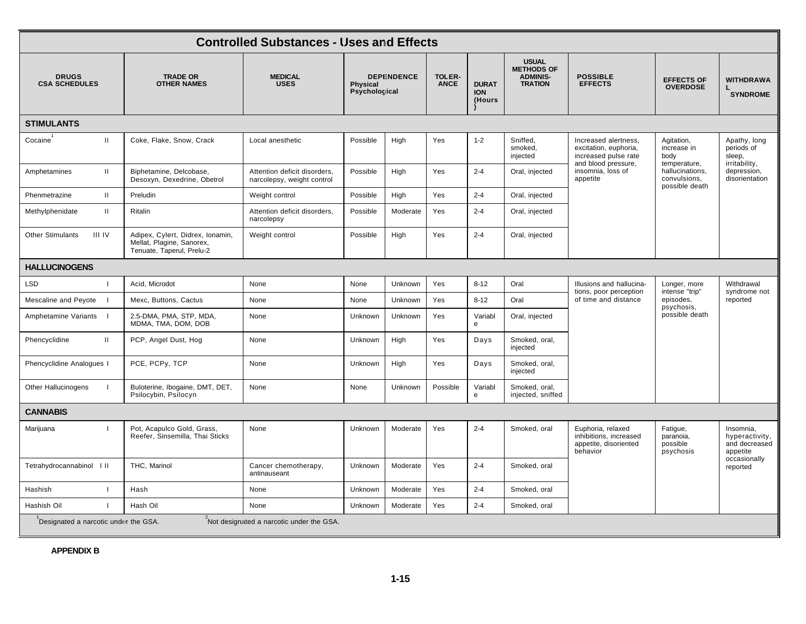| <b>Controlled Substances - Uses and Effects</b>                                  |                                                                                            |                                                            |                                                       |          |                              |                                      |                                                                        |                                                                                              |                                                                                                        |                                                                                        |
|----------------------------------------------------------------------------------|--------------------------------------------------------------------------------------------|------------------------------------------------------------|-------------------------------------------------------|----------|------------------------------|--------------------------------------|------------------------------------------------------------------------|----------------------------------------------------------------------------------------------|--------------------------------------------------------------------------------------------------------|----------------------------------------------------------------------------------------|
| <b>DRUGS</b><br><b>CSA SCHEDULES</b>                                             | <b>TRADE OR</b><br><b>OTHER NAMES</b>                                                      | <b>MEDICAL</b><br><b>USES</b>                              | <b>DEPENDENCE</b><br><b>Physical</b><br>Psychological |          | <b>TOLER-</b><br><b>ANCE</b> | <b>DURAT</b><br><b>ION</b><br>(Hours | <b>USUAL</b><br><b>METHODS OF</b><br><b>ADMINIS-</b><br><b>TRATION</b> | <b>POSSIBLE</b><br><b>EFFECTS</b>                                                            | <b>EFFECTS OF</b><br><b>OVERDOSE</b>                                                                   | <b>WITHDRAWA</b><br><b>SYNDROME</b>                                                    |
| <b>STIMULANTS</b>                                                                |                                                                                            |                                                            |                                                       |          |                              |                                      |                                                                        |                                                                                              |                                                                                                        |                                                                                        |
| $\mathbf{H}$<br>Cocaine                                                          | Coke, Flake, Snow, Crack                                                                   | Local anesthetic                                           | Possible                                              | High     | Yes                          | $1 - 2$                              | Sniffed,<br>smoked,<br>injected                                        | Increased alertness,<br>excitation, euphoria,<br>increased pulse rate<br>and blood pressure, | Agitation,<br>increase in<br>body<br>temperature,<br>hallucinations,<br>convulsions,<br>possible death | Apathy, long<br>periods of<br>sleep,<br>irritability,<br>depression,<br>disorientation |
| $\mathbf{H}$<br>Amphetamines                                                     | Biphetamine, Delcobase,<br>Desoxyn, Dexedrine, Obetrol                                     | Attention deficit disorders,<br>narcolepsy, weight control | Possible                                              | High     | Yes                          | $2 - 4$                              | Oral, injected                                                         | insomnia, loss of<br>appetite                                                                |                                                                                                        |                                                                                        |
| $\mathbf{II}$<br>Phenmetrazine                                                   | Preludin                                                                                   | Weight control                                             | Possible                                              | High     | Yes                          | $2 - 4$                              | Oral, injected                                                         |                                                                                              |                                                                                                        |                                                                                        |
| $\mathbf{H}$<br>Methylphenidate                                                  | Ritalin                                                                                    | Attention deficit disorders,<br>narcolepsy                 | Possible                                              | Moderate | Yes                          | $2 - 4$                              | Oral, injected                                                         |                                                                                              |                                                                                                        |                                                                                        |
| <b>III IV</b><br><b>Other Stimulants</b>                                         | Adipex, Cylert, Didrex, Ionamin,<br>Mellat, Plagine, Sanorex,<br>Tenuate, Taperul, Prelu-2 | Weight control                                             | Possible                                              | High     | Yes                          | $2 - 4$                              | Oral, injected                                                         |                                                                                              |                                                                                                        |                                                                                        |
| <b>HALLUCINOGENS</b>                                                             |                                                                                            |                                                            |                                                       |          |                              |                                      |                                                                        |                                                                                              |                                                                                                        |                                                                                        |
| <b>LSD</b>                                                                       | Acid, Microdot                                                                             | None                                                       | None                                                  | Unknown  | Yes                          | $8 - 12$                             | Oral                                                                   | Illusions and hallucina-                                                                     | Longer, more<br>intense "trip"<br>episodes,<br>psychosis,<br>possible death                            | Withdrawal<br>syndrome not<br>reported                                                 |
| Mescaline and Peyote                                                             | Mexc, Buttons, Cactus                                                                      | None                                                       | None                                                  | Unknown  | Yes                          | $8 - 12$                             | Oral                                                                   | tions, poor perception<br>of time and distance                                               |                                                                                                        |                                                                                        |
| Amphetamine Variants                                                             | 2.5-DMA, PMA, STP, MDA,<br>MDMA, TMA, DOM, DOB                                             | None                                                       | Unknown                                               | Unknown  | Yes                          | Variabl<br>e                         | Oral, injected                                                         |                                                                                              |                                                                                                        |                                                                                        |
| $\mathbf{H}$<br>Phencyclidine                                                    | PCP, Angel Dust, Hog                                                                       | None                                                       | Unknown                                               | High     | Yes                          | Days                                 | Smoked, oral,<br>injected                                              |                                                                                              |                                                                                                        |                                                                                        |
| Phencyclidine Analogues I                                                        | PCE, PCPy, TCP                                                                             | None                                                       | Unknown                                               | High     | Yes                          | Days                                 | Smoked, oral,<br>injected                                              |                                                                                              |                                                                                                        |                                                                                        |
| Other Hallucinogens<br>$\mathbf{I}$                                              | Buloterine, Ibogaine, DMT, DET,<br>Psilocybin, Psilocyn                                    | None                                                       | None                                                  | Unknown  | Possible                     | Variabl<br>e                         | Smoked, oral,<br>injected, sniffed                                     |                                                                                              |                                                                                                        |                                                                                        |
| <b>CANNABIS</b>                                                                  |                                                                                            |                                                            |                                                       |          |                              |                                      |                                                                        |                                                                                              |                                                                                                        |                                                                                        |
| $\overline{1}$<br>Marijuana                                                      | Pot, Acapulco Gold, Grass,<br>Reefer, Sinsemilla, Thai Sticks                              | None                                                       | Unknown                                               | Moderate | Yes                          | $2 - 4$                              | Smoked, oral                                                           | Euphoria, relaxed<br>inhibitions, increased<br>appetite, disoriented<br>behavior             | Fatigue,<br>paranoia,<br>possible<br>psychosis                                                         | Insomnia,<br>hyperactivity,<br>and decreased<br>appetite                               |
| Tetrahydrocannabinol III                                                         | THC, Marinol                                                                               | Cancer chemotherapy,<br>antinauseant                       | Unknown                                               | Moderate | Yes                          | $2 - 4$                              | Smoked, oral                                                           |                                                                                              |                                                                                                        | occasionally<br>reported                                                               |
| Hashish<br>$\overline{\phantom{a}}$                                              | Hash                                                                                       | None                                                       | Unknown                                               | Moderate | Yes                          | $2 - 4$                              | Smoked, oral                                                           |                                                                                              |                                                                                                        |                                                                                        |
| Hashish Oil<br>- 1                                                               | Hash Oil                                                                                   | None                                                       | Unknown                                               | Moderate | Yes                          | $2 - 4$                              | Smoked, oral                                                           |                                                                                              |                                                                                                        |                                                                                        |
| Not designated a narcotic under the GSA.<br>Designated a narcotic under the GSA. |                                                                                            |                                                            |                                                       |          |                              |                                      |                                                                        |                                                                                              |                                                                                                        |                                                                                        |

**APPENDIX B**